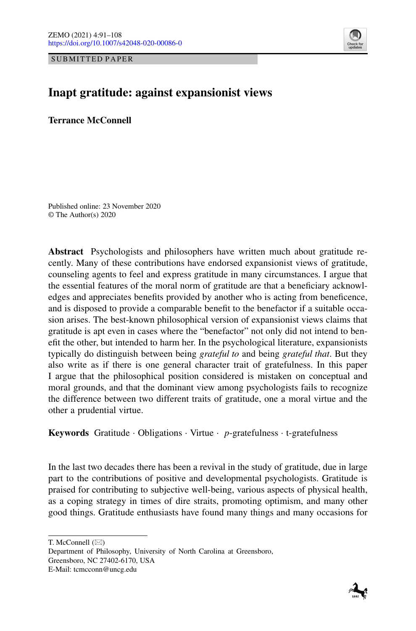SUBMITTED PAPER



# **Inapt gratitude: against expansionist views**

**Terrance McConnell**

Published online: 23 November 2020 © The Author(s) 2020

**Abstract** Psychologists and philosophers have written much about gratitude recently. Many of these contributions have endorsed expansionist views of gratitude, counseling agents to feel and express gratitude in many circumstances. I argue that the essential features of the moral norm of gratitude are that a beneficiary acknowledges and appreciates benefits provided by another who is acting from beneficence, and is disposed to provide a comparable benefit to the benefactor if a suitable occasion arises. The best-known philosophical version of expansionist views claims that gratitude is apt even in cases where the "benefactor" not only did not intend to benefit the other, but intended to harm her. In the psychological literature, expansionists typically do distinguish between being *grateful to* and being *grateful that*. But they also write as if there is one general character trait of gratefulness. In this paper I argue that the philosophical position considered is mistaken on conceptual and moral grounds, and that the dominant view among psychologists fails to recognize the difference between two different traits of gratitude, one a moral virtue and the other a prudential virtue.

**Keywords** Gratitude  $\cdot$  Obligations  $\cdot$  Virtue  $\cdot$  *p*-gratefulness  $\cdot$  t-gratefulness

In the last two decades there has been a revival in the study of gratitude, due in large part to the contributions of positive and developmental psychologists. Gratitude is praised for contributing to subjective well-being, various aspects of physical health, as a coping strategy in times of dire straits, promoting optimism, and many other good things. Gratitude enthusiasts have found many things and many occasions for

T. McConnell  $(\boxtimes)$ 



Department of Philosophy, University of North Carolina at Greensboro, Greensboro, NC 27402-6170, USA E-Mail: tcmcconn@uncg.edu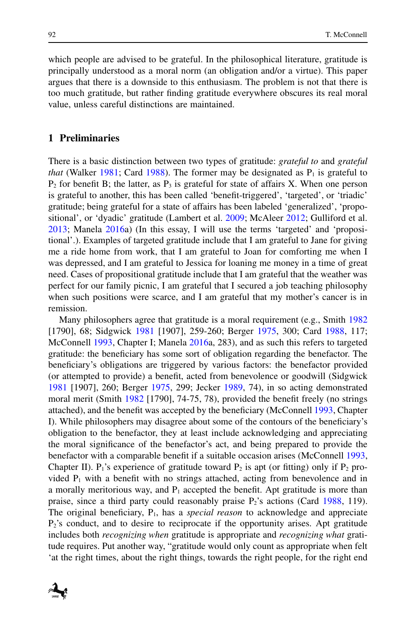which people are advised to be grateful. In the philosophical literature, gratitude is principally understood as a moral norm (an obligation and/or a virtue). This paper argues that there is a downside to this enthusiasm. The problem is not that there is too much gratitude, but rather finding gratitude everywhere obscures its real moral value, unless careful distinctions are maintained.

# **1 Preliminaries**

There is a basic distinction between two types of gratitude: *grateful to* and *grateful that* (Walker [1981;](#page-17-0) Card [1988\)](#page-15-0). The former may be designated as  $P_1$  is grateful to  $P_2$  for benefit B; the latter, as  $P_3$  is grateful for state of affairs X. When one person is grateful to another, this has been called 'benefit-triggered', 'targeted', or 'triadic' gratitude; being grateful for a state of affairs has been labeled 'generalized', 'propositional', or 'dyadic' gratitude (Lambert et al. [2009;](#page-16-0) McAleer [2012;](#page-16-1) Gulliford et al. [2013;](#page-16-2) Manela [2016a](#page-16-3)) (In this essay, I will use the terms 'targeted' and 'propositional'.). Examples of targeted gratitude include that I am grateful to Jane for giving me a ride home from work, that I am grateful to Joan for comforting me when I was depressed, and I am grateful to Jessica for loaning me money in a time of great need. Cases of propositional gratitude include that I am grateful that the weather was perfect for our family picnic, I am grateful that I secured a job teaching philosophy when such positions were scarce, and I am grateful that my mother's cancer is in remission.

Many philosophers agree that gratitude is a moral requirement (e.g., Smith [1982](#page-17-1) [1790], 68; Sidgwick [1981](#page-16-4) [1907], 259-260; Berger [1975,](#page-15-1) 300; Card [1988,](#page-15-0) 117; McConnell [1993,](#page-16-5) Chapter I; Manela [2016a](#page-16-3), 283), and as such this refers to targeted gratitude: the beneficiary has some sort of obligation regarding the benefactor. The beneficiary's obligations are triggered by various factors: the benefactor provided (or attempted to provide) a benefit, acted from benevolence or goodwill (Sidgwick [1981](#page-16-4) [1907], 260; Berger [1975,](#page-15-1) 299; Jecker [1989,](#page-16-6) 74), in so acting demonstrated moral merit (Smith [1982](#page-17-1) [1790], 74-75, 78), provided the benefit freely (no strings attached), and the benefit was accepted by the beneficiary (McConnell [1993,](#page-16-5) Chapter I). While philosophers may disagree about some of the contours of the beneficiary's obligation to the benefactor, they at least include acknowledging and appreciating the moral significance of the benefactor's act, and being prepared to provide the benefactor with a comparable benefit if a suitable occasion arises (McConnell [1993,](#page-16-5) Chapter II).  $P_1$ 's experience of gratitude toward  $P_2$  is apt (or fitting) only if  $P_2$  provided  $P_1$  with a benefit with no strings attached, acting from benevolence and in a morally meritorious way, and  $P_1$  accepted the benefit. Apt gratitude is more than praise, since a third party could reasonably praise  $P_2$ 's actions (Card [1988,](#page-15-0) 119). The original beneficiary, P<sub>1</sub>, has a *special reason* to acknowledge and appreciate  $P_2$ 's conduct, and to desire to reciprocate if the opportunity arises. Apt gratitude includes both *recognizing when* gratitude is appropriate and *recognizing what* gratitude requires. Put another way, "gratitude would only count as appropriate when felt 'at the right times, about the right things, towards the right people, for the right end

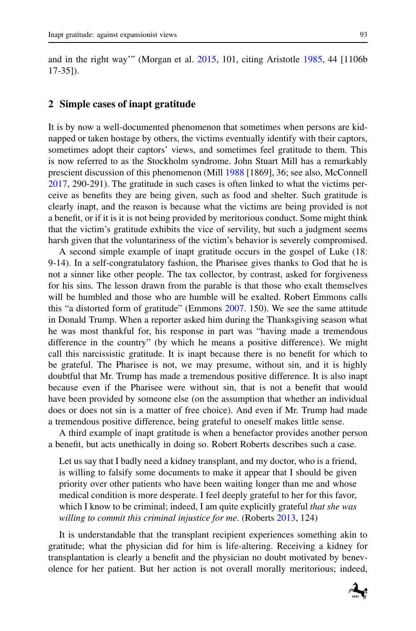and in the right way'" (Morgan et al. [2015,](#page-16-7) 101, citing Aristotle [1985,](#page-15-2) 44 [1106b 17-35]).

# **2 Simple cases of inapt gratitude**

It is by now a well-documented phenomenon that sometimes when persons are kidnapped or taken hostage by others, the victims eventually identify with their captors, sometimes adopt their captors' views, and sometimes feel gratitude to them. This is now referred to as the Stockholm syndrome. John Stuart Mill has a remarkably prescient discussion of this phenomenon (Mill [1988](#page-16-8) [1869], 36; see also, McConnell [2017,](#page-16-9) 290-291). The gratitude in such cases is often linked to what the victims perceive as benefits they are being given, such as food and shelter. Such gratitude is clearly inapt, and the reason is because what the victims are being provided is not a benefit, or if it is it is not being provided by meritorious conduct. Some might think that the victim's gratitude exhibits the vice of servility, but such a judgment seems harsh given that the voluntariness of the victim's behavior is severely compromised.

A second simple example of inapt gratitude occurs in the gospel of Luke (18: 9-14). In a self-congratulatory fashion, the Pharisee gives thanks to God that he is not a sinner like other people. The tax collector, by contrast, asked for forgiveness for his sins. The lesson drawn from the parable is that those who exalt themselves will be humbled and those who are humble will be exalted. Robert Emmons calls this "a distorted form of gratitude" (Emmons [2007.](#page-16-10) 150). We see the same attitude in Donald Trump. When a reporter asked him during the Thanksgiving season what he was most thankful for, his response in part was "having made a tremendous difference in the country" (by which he means a positive difference). We might call this narcissistic gratitude. It is inapt because there is no benefit for which to be grateful. The Pharisee is not, we may presume, without sin, and it is highly doubtful that Mr. Trump has made a tremendous positive difference. It is also inapt because even if the Pharisee were without sin, that is not a benefit that would have been provided by someone else (on the assumption that whether an individual does or does not sin is a matter of free choice). And even if Mr. Trump had made a tremendous positive difference, being grateful to oneself makes little sense.

A third example of inapt gratitude is when a benefactor provides another person a benefit, but acts unethically in doing so. Robert Roberts describes such a case.

Let us say that I badly need a kidney transplant, and my doctor, who is a friend, is willing to falsify some documents to make it appear that I should be given priority over other patients who have been waiting longer than me and whose medical condition is more desperate. I feel deeply grateful to her for this favor, which I know to be criminal; indeed, I am quite explicitly grateful *that she was willing to commit this criminal injustice for me*. (Roberts [2013,](#page-16-11) 124)

It is understandable that the transplant recipient experiences something akin to gratitude; what the physician did for him is life-altering. Receiving a kidney for transplantation is clearly a benefit and the physician no doubt motivated by benevolence for her patient. But her action is not overall morally meritorious; indeed,

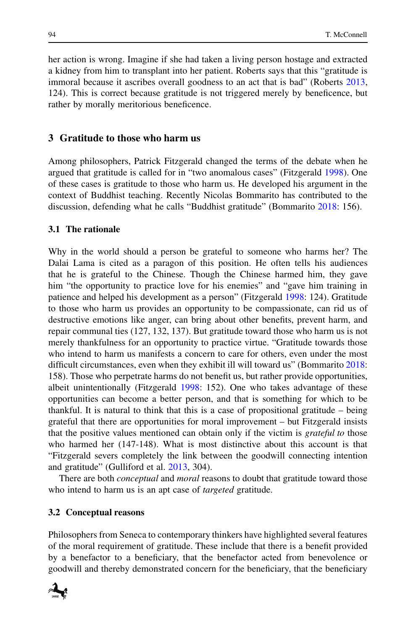her action is wrong. Imagine if she had taken a living person hostage and extracted a kidney from him to transplant into her patient. Roberts says that this "gratitude is immoral because it ascribes overall goodness to an act that is bad" (Roberts [2013,](#page-16-11) 124). This is correct because gratitude is not triggered merely by beneficence, but rather by morally meritorious beneficence.

## **3 Gratitude to those who harm us**

Among philosophers, Patrick Fitzgerald changed the terms of the debate when he argued that gratitude is called for in "two anomalous cases" (Fitzgerald [1998\)](#page-16-12). One of these cases is gratitude to those who harm us. He developed his argument in the context of Buddhist teaching. Recently Nicolas Bommarito has contributed to the discussion, defending what he calls "Buddhist gratitude" (Bommarito [2018:](#page-15-3) 156).

#### **3.1 The rationale**

Why in the world should a person be grateful to someone who harms her? The Dalai Lama is cited as a paragon of this position. He often tells his audiences that he is grateful to the Chinese. Though the Chinese harmed him, they gave him "the opportunity to practice love for his enemies" and "gave him training in patience and helped his development as a person" (Fitzgerald [1998:](#page-16-12) 124). Gratitude to those who harm us provides an opportunity to be compassionate, can rid us of destructive emotions like anger, can bring about other benefits, prevent harm, and repair communal ties (127, 132, 137). But gratitude toward those who harm us is not merely thankfulness for an opportunity to practice virtue. "Gratitude towards those who intend to harm us manifests a concern to care for others, even under the most difficult circumstances, even when they exhibit ill will toward us" (Bommarito [2018:](#page-15-3) 158). Those who perpetrate harms do not benefit us, but rather provide opportunities, albeit unintentionally (Fitzgerald [1998:](#page-16-12) 152). One who takes advantage of these opportunities can become a better person, and that is something for which to be thankful. It is natural to think that this is a case of propositional gratitude – being grateful that there are opportunities for moral improvement – but Fitzgerald insists that the positive values mentioned can obtain only if the victim is *grateful to* those who harmed her (147-148). What is most distinctive about this account is that "Fitzgerald severs completely the link between the goodwill connecting intention and gratitude" (Gulliford et al. [2013,](#page-16-2) 304).

There are both *conceptual* and *moral* reasons to doubt that gratitude toward those who intend to harm us is an apt case of *targeted* gratitude.

#### **3.2 Conceptual reasons**

Philosophers from Seneca to contemporary thinkers have highlighted several features of the moral requirement of gratitude. These include that there is a benefit provided by a benefactor to a beneficiary, that the benefactor acted from benevolence or goodwill and thereby demonstrated concern for the beneficiary, that the beneficiary

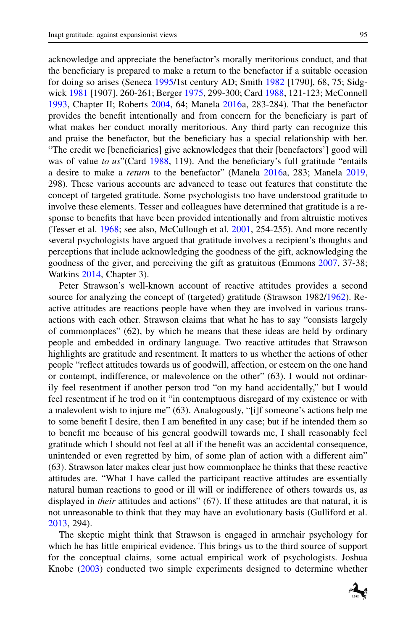acknowledge and appreciate the benefactor's morally meritorious conduct, and that the beneficiary is prepared to make a return to the benefactor if a suitable occasion for doing so arises (Seneca [1995/](#page-16-13)1st century AD; Smith [1982](#page-17-1) [1790], 68, 75; Sidgwick [1981](#page-16-4) [1907], 260-261; Berger [1975,](#page-15-1) 299-300; Card [1988,](#page-15-0) 121-123; McConnell [1993,](#page-16-5) Chapter II; Roberts [2004,](#page-16-14) 64; Manela [2016a](#page-16-3), 283-284). That the benefactor provides the benefit intentionally and from concern for the beneficiary is part of what makes her conduct morally meritorious. Any third party can recognize this and praise the benefactor, but the beneficiary has a special relationship with her. "The credit we [beneficiaries] give acknowledges that their [benefactors'] good will was of value *to us*"(Card [1988,](#page-15-0) 119). And the beneficiary's full gratitude "entails a desire to make a *return* to the benefactor" (Manela [2016a](#page-16-3), 283; Manela [2019,](#page-16-15) 298). These various accounts are advanced to tease out features that constitute the concept of targeted gratitude. Some psychologists too have understood gratitude to involve these elements. Tesser and colleagues have determined that gratitude is a response to benefits that have been provided intentionally and from altruistic motives (Tesser et al. [1968;](#page-17-2) see also, McCullough et al. [2001,](#page-16-16) 254-255). And more recently several psychologists have argued that gratitude involves a recipient's thoughts and perceptions that include acknowledging the goodness of the gift, acknowledging the goodness of the giver, and perceiving the gift as gratuitous (Emmons [2007,](#page-16-10) 37-38; Watkins [2014,](#page-17-3) Chapter 3).

Peter Strawson's well-known account of reactive attitudes provides a second source for analyzing the concept of (targeted) gratitude (Strawson 1982[/1962\)](#page-17-4). Reactive attitudes are reactions people have when they are involved in various transactions with each other. Strawson claims that what he has to say "consists largely of commonplaces" (62), by which he means that these ideas are held by ordinary people and embedded in ordinary language. Two reactive attitudes that Strawson highlights are gratitude and resentment. It matters to us whether the actions of other people "reflect attitudes towards us of goodwill, affection, or esteem on the one hand or contempt, indifference, or malevolence on the other" (63). I would not ordinarily feel resentment if another person trod "on my hand accidentally," but I would feel resentment if he trod on it "in contemptuous disregard of my existence or with a malevolent wish to injure me" (63). Analogously, "[i]f someone's actions help me to some benefit I desire, then I am benefited in any case; but if he intended them so to benefit me because of his general goodwill towards me, I shall reasonably feel gratitude which I should not feel at all if the benefit was an accidental consequence, unintended or even regretted by him, of some plan of action with a different aim" (63). Strawson later makes clear just how commonplace he thinks that these reactive attitudes are. "What I have called the participant reactive attitudes are essentially natural human reactions to good or ill will or indifference of others towards us, as displayed in *their* attitudes and actions" (67). If these attitudes are that natural, it is not unreasonable to think that they may have an evolutionary basis (Gulliford et al. [2013,](#page-16-2) 294).

The skeptic might think that Strawson is engaged in armchair psychology for which he has little empirical evidence. This brings us to the third source of support for the conceptual claims, some actual empirical work of psychologists. Joshua Knobe [\(2003\)](#page-16-17) conducted two simple experiments designed to determine whether

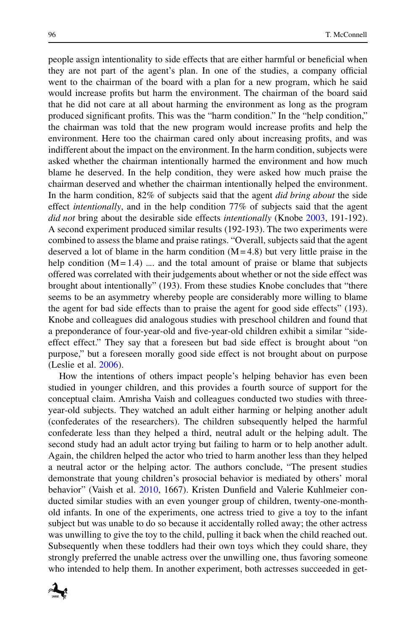people assign intentionality to side effects that are either harmful or beneficial when they are not part of the agent's plan. In one of the studies, a company official went to the chairman of the board with a plan for a new program, which he said would increase profits but harm the environment. The chairman of the board said that he did not care at all about harming the environment as long as the program produced significant profits. This was the "harm condition." In the "help condition," the chairman was told that the new program would increase profits and help the environment. Here too the chairman cared only about increasing profits, and was indifferent about the impact on the environment. In the harm condition, subjects were asked whether the chairman intentionally harmed the environment and how much blame he deserved. In the help condition, they were asked how much praise the chairman deserved and whether the chairman intentionally helped the environment. In the harm condition, 82% of subjects said that the agent *did bring about* the side effect *intentionally*, and in the help condition 77% of subjects said that the agent *did not* bring about the desirable side effects *intentionally* (Knobe [2003,](#page-16-17) 191-192). A second experiment produced similar results (192-193). The two experiments were combined to assess the blame and praise ratings. "Overall, subjects said that the agent deserved a lot of blame in the harm condition  $(M=4.8)$  but very little praise in the help condition  $(M = 1.4)$  .... and the total amount of praise or blame that subjects offered was correlated with their judgements about whether or not the side effect was brought about intentionally" (193). From these studies Knobe concludes that "there seems to be an asymmetry whereby people are considerably more willing to blame the agent for bad side effects than to praise the agent for good side effects" (193). Knobe and colleagues did analogous studies with preschool children and found that a preponderance of four-year-old and five-year-old children exhibit a similar "sideeffect effect." They say that a foreseen but bad side effect is brought about "on purpose," but a foreseen morally good side effect is not brought about on purpose (Leslie et al. [2006\)](#page-16-18).

How the intentions of others impact people's helping behavior has even been studied in younger children, and this provides a fourth source of support for the conceptual claim. Amrisha Vaish and colleagues conducted two studies with threeyear-old subjects. They watched an adult either harming or helping another adult (confederates of the researchers). The children subsequently helped the harmful confederate less than they helped a third, neutral adult or the helping adult. The second study had an adult actor trying but failing to harm or to help another adult. Again, the children helped the actor who tried to harm another less than they helped a neutral actor or the helping actor. The authors conclude, "The present studies demonstrate that young children's prosocial behavior is mediated by others' moral behavior" (Vaish et al. [2010,](#page-17-5) 1667). Kristen Dunfield and Valerie Kuhlmeier conducted similar studies with an even younger group of children, twenty-one-monthold infants. In one of the experiments, one actress tried to give a toy to the infant subject but was unable to do so because it accidentally rolled away; the other actress was unwilling to give the toy to the child, pulling it back when the child reached out. Subsequently when these toddlers had their own toys which they could share, they strongly preferred the unable actress over the unwilling one, thus favoring someone who intended to help them. In another experiment, both actresses succeeded in get-

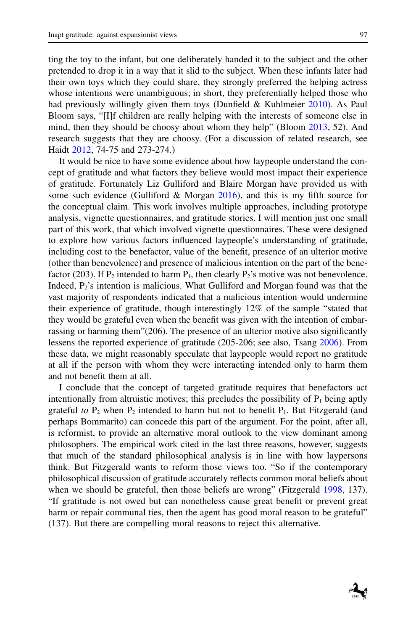ting the toy to the infant, but one deliberately handed it to the subject and the other pretended to drop it in a way that it slid to the subject. When these infants later had their own toys which they could share, they strongly preferred the helping actress whose intentions were unambiguous; in short, they preferentially helped those who had previously willingly given them toys (Dunfield & Kuhlmeier [2010\)](#page-16-19). As Paul Bloom says, "[I]f children are really helping with the interests of someone else in mind, then they should be choosy about whom they help" (Bloom [2013,](#page-15-4) 52). And research suggests that they are choosy. (For a discussion of related research, see Haidt [2012,](#page-16-20) 74-75 and 273-274.)

It would be nice to have some evidence about how laypeople understand the concept of gratitude and what factors they believe would most impact their experience of gratitude. Fortunately Liz Gulliford and Blaire Morgan have provided us with some such evidence (Gulliford & Morgan [2016\)](#page-16-21), and this is my fifth source for the conceptual claim. This work involves multiple approaches, including prototype analysis, vignette questionnaires, and gratitude stories. I will mention just one small part of this work, that which involved vignette questionnaires. These were designed to explore how various factors influenced laypeople's understanding of gratitude, including cost to the benefactor, value of the benefit, presence of an ulterior motive (other than benevolence) and presence of malicious intention on the part of the benefactor (203). If  $P_2$  intended to harm  $P_1$ , then clearly  $P_2$ 's motive was not benevolence. Indeed, P2's intention is malicious. What Gulliford and Morgan found was that the vast majority of respondents indicated that a malicious intention would undermine their experience of gratitude, though interestingly 12% of the sample "stated that they would be grateful even when the benefit was given with the intention of embarrassing or harming them"(206). The presence of an ulterior motive also significantly lessens the reported experience of gratitude (205-206; see also, Tsang [2006\)](#page-17-6). From these data, we might reasonably speculate that laypeople would report no gratitude at all if the person with whom they were interacting intended only to harm them and not benefit them at all.

I conclude that the concept of targeted gratitude requires that benefactors act intentionally from altruistic motives; this precludes the possibility of  $P_1$  being aptly grateful *to*  $P_2$  when  $P_2$  intended to harm but not to benefit  $P_1$ . But Fitzgerald (and perhaps Bommarito) can concede this part of the argument. For the point, after all, is reformist, to provide an alternative moral outlook to the view dominant among philosophers. The empirical work cited in the last three reasons, however, suggests that much of the standard philosophical analysis is in line with how laypersons think. But Fitzgerald wants to reform those views too. "So if the contemporary philosophical discussion of gratitude accurately reflects common moral beliefs about when we should be grateful, then those beliefs are wrong" (Fitzgerald [1998,](#page-16-12) 137). "If gratitude is not owed but can nonetheless cause great benefit or prevent great harm or repair communal ties, then the agent has good moral reason to be grateful" (137). But there are compelling moral reasons to reject this alternative.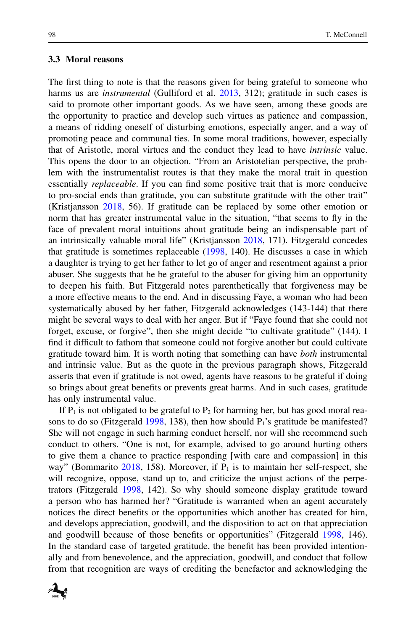The first thing to note is that the reasons given for being grateful to someone who harms us are *instrumental* (Gulliford et al. [2013,](#page-16-2) 312); gratitude in such cases is said to promote other important goods. As we have seen, among these goods are the opportunity to practice and develop such virtues as patience and compassion, a means of ridding oneself of disturbing emotions, especially anger, and a way of promoting peace and communal ties. In some moral traditions, however, especially that of Aristotle, moral virtues and the conduct they lead to have *intrinsic* value. This opens the door to an objection. "From an Aristotelian perspective, the problem with the instrumentalist routes is that they make the moral trait in question essentially *replaceable*. If you can find some positive trait that is more conducive to pro-social ends than gratitude, you can substitute gratitude with the other trait" (Kristjansson [2018,](#page-16-22) 56). If gratitude can be replaced by some other emotion or norm that has greater instrumental value in the situation, "that seems to fly in the face of prevalent moral intuitions about gratitude being an indispensable part of an intrinsically valuable moral life" (Kristjansson [2018,](#page-16-22) 171). Fitzgerald concedes that gratitude is sometimes replaceable [\(1998,](#page-16-12) 140). He discusses a case in which a daughter is trying to get her father to let go of anger and resentment against a prior abuser. She suggests that he be grateful to the abuser for giving him an opportunity to deepen his faith. But Fitzgerald notes parenthetically that forgiveness may be a more effective means to the end. And in discussing Faye, a woman who had been systematically abused by her father, Fitzgerald acknowledges (143-144) that there might be several ways to deal with her anger. But if "Faye found that she could not forget, excuse, or forgive", then she might decide "to cultivate gratitude" (144). I find it difficult to fathom that someone could not forgive another but could cultivate gratitude toward him. It is worth noting that something can have *both* instrumental and intrinsic value. But as the quote in the previous paragraph shows, Fitzgerald asserts that even if gratitude is not owed, agents have reasons to be grateful if doing so brings about great benefits or prevents great harms. And in such cases, gratitude has only instrumental value.

If  $P_1$  is not obligated to be grateful to  $P_2$  for harming her, but has good moral reasons to do so (Fitzgerald  $1998$ , 138), then how should  $P_1$ 's gratitude be manifested? She will not engage in such harming conduct herself, nor will she recommend such conduct to others. "One is not, for example, advised to go around hurting others to give them a chance to practice responding [with care and compassion] in this way" (Bommarito [2018,](#page-15-3) 158). Moreover, if  $P_1$  is to maintain her self-respect, she will recognize, oppose, stand up to, and criticize the unjust actions of the perpetrators (Fitzgerald [1998,](#page-16-12) 142). So why should someone display gratitude toward a person who has harmed her? "Gratitude is warranted when an agent accurately notices the direct benefits or the opportunities which another has created for him, and develops appreciation, goodwill, and the disposition to act on that appreciation and goodwill because of those benefits or opportunities" (Fitzgerald [1998,](#page-16-12) 146). In the standard case of targeted gratitude, the benefit has been provided intentionally and from benevolence, and the appreciation, goodwill, and conduct that follow from that recognition are ways of crediting the benefactor and acknowledging the

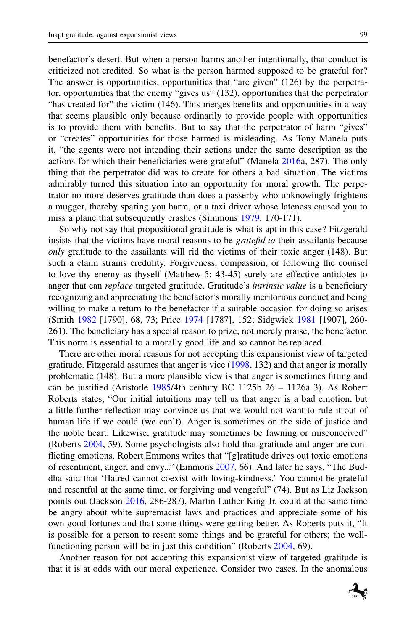benefactor's desert. But when a person harms another intentionally, that conduct is criticized not credited. So what is the person harmed supposed to be grateful for? The answer is opportunities, opportunities that "are given" (126) by the perpetrator, opportunities that the enemy "gives us" (132), opportunities that the perpetrator "has created for" the victim (146). This merges benefits and opportunities in a way that seems plausible only because ordinarily to provide people with opportunities is to provide them with benefits. But to say that the perpetrator of harm "gives" or "creates" opportunities for those harmed is misleading. As Tony Manela puts it, "the agents were not intending their actions under the same description as the actions for which their beneficiaries were grateful" (Manela [2016a](#page-16-3), 287). The only thing that the perpetrator did was to create for others a bad situation. The victims admirably turned this situation into an opportunity for moral growth. The perpetrator no more deserves gratitude than does a passerby who unknowingly frightens a mugger, thereby sparing you harm, or a taxi driver whose lateness caused you to miss a plane that subsequently crashes (Simmons [1979,](#page-16-23) 170-171).

So why not say that propositional gratitude is what is apt in this case? Fitzgerald insists that the victims have moral reasons to be *grateful to* their assailants because *only* gratitude to the assailants will rid the victims of their toxic anger (148). But such a claim strains credulity. Forgiveness, compassion, or following the counsel to love thy enemy as thyself (Matthew 5: 43-45) surely are effective antidotes to anger that can *replace* targeted gratitude. Gratitude's *intrinsic value* is a beneficiary recognizing and appreciating the benefactor's morally meritorious conduct and being willing to make a return to the benefactor if a suitable occasion for doing so arises (Smith [1982](#page-17-1) [1790], 68, 73; Price [1974](#page-16-24) [1787], 152; Sidgwick [1981](#page-16-4) [1907], 260- 261). The beneficiary has a special reason to prize, not merely praise, the benefactor. This norm is essential to a morally good life and so cannot be replaced.

There are other moral reasons for not accepting this expansionist view of targeted gratitude. Fitzgerald assumes that anger is vice [\(1998,](#page-16-12) 132) and that anger is morally problematic (148). But a more plausible view is that anger is sometimes fitting and can be justified (Aristotle [1985/](#page-15-2)4th century BC 1125b  $26 - 1126a$  3). As Robert Roberts states, "Our initial intuitions may tell us that anger is a bad emotion, but a little further reflection may convince us that we would not want to rule it out of human life if we could (we can't). Anger is sometimes on the side of justice and the noble heart. Likewise, gratitude may sometimes be fawning or misconceived" (Roberts [2004,](#page-16-14) 59). Some psychologists also hold that gratitude and anger are conflicting emotions. Robert Emmons writes that "[g]ratitude drives out toxic emotions of resentment, anger, and envy..." (Emmons [2007,](#page-16-10) 66). And later he says, "The Buddha said that 'Hatred cannot coexist with loving-kindness.' You cannot be grateful and resentful at the same time, or forgiving and vengeful" (74). But as Liz Jackson points out (Jackson [2016,](#page-16-25) 286-287), Martin Luther King Jr. could at the same time be angry about white supremacist laws and practices and appreciate some of his own good fortunes and that some things were getting better. As Roberts puts it, "It is possible for a person to resent some things and be grateful for others; the wellfunctioning person will be in just this condition" (Roberts [2004,](#page-16-14) 69).

Another reason for not accepting this expansionist view of targeted gratitude is that it is at odds with our moral experience. Consider two cases. In the anomalous

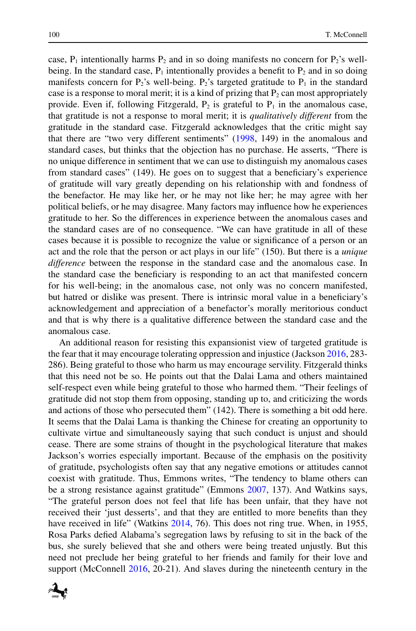case,  $P_1$  intentionally harms  $P_2$  and in so doing manifests no concern for  $P_2$ 's wellbeing. In the standard case,  $P_1$  intentionally provides a benefit to  $P_2$  and in so doing manifests concern for  $P_2$ 's well-being.  $P_2$ 's targeted gratitude to  $P_1$  in the standard case is a response to moral merit; it is a kind of prizing that  $P_2$  can most appropriately provide. Even if, following Fitzgerald,  $P_2$  is grateful to  $P_1$  in the anomalous case, that gratitude is not a response to moral merit; it is *qualitatively different* from the gratitude in the standard case. Fitzgerald acknowledges that the critic might say that there are "two very different sentiments" [\(1998,](#page-16-12) 149) in the anomalous and standard cases, but thinks that the objection has no purchase. He asserts, "There is no unique difference in sentiment that we can use to distinguish my anomalous cases from standard cases" (149). He goes on to suggest that a beneficiary's experience of gratitude will vary greatly depending on his relationship with and fondness of the benefactor. He may like her, or he may not like her; he may agree with her political beliefs, or he may disagree. Many factors may influence how he experiences gratitude to her. So the differences in experience between the anomalous cases and the standard cases are of no consequence. "We can have gratitude in all of these cases because it is possible to recognize the value or significance of a person or an act and the role that the person or act plays in our life" (150). But there is a *unique difference* between the response in the standard case and the anomalous case. In the standard case the beneficiary is responding to an act that manifested concern for his well-being; in the anomalous case, not only was no concern manifested, but hatred or dislike was present. There is intrinsic moral value in a beneficiary's acknowledgement and appreciation of a benefactor's morally meritorious conduct and that is why there is a qualitative difference between the standard case and the anomalous case.

An additional reason for resisting this expansionist view of targeted gratitude is the fear that it may encourage tolerating oppression and injustice (Jackson [2016,](#page-16-25) 283- 286). Being grateful to those who harm us may encourage servility. Fitzgerald thinks that this need not be so. He points out that the Dalai Lama and others maintained self-respect even while being grateful to those who harmed them. "Their feelings of gratitude did not stop them from opposing, standing up to, and criticizing the words and actions of those who persecuted them" (142). There is something a bit odd here. It seems that the Dalai Lama is thanking the Chinese for creating an opportunity to cultivate virtue and simultaneously saying that such conduct is unjust and should cease. There are some strains of thought in the psychological literature that makes Jackson's worries especially important. Because of the emphasis on the positivity of gratitude, psychologists often say that any negative emotions or attitudes cannot coexist with gratitude. Thus, Emmons writes, "The tendency to blame others can be a strong resistance against gratitude" (Emmons [2007,](#page-16-10) 137). And Watkins says, "The grateful person does not feel that life has been unfair, that they have not received their 'just desserts', and that they are entitled to more benefits than they have received in life" (Watkins [2014,](#page-17-3) 76). This does not ring true. When, in 1955, Rosa Parks defied Alabama's segregation laws by refusing to sit in the back of the bus, she surely believed that she and others were being treated unjustly. But this need not preclude her being grateful to her friends and family for their love and support (McConnell [2016,](#page-16-26) 20-21). And slaves during the nineteenth century in the

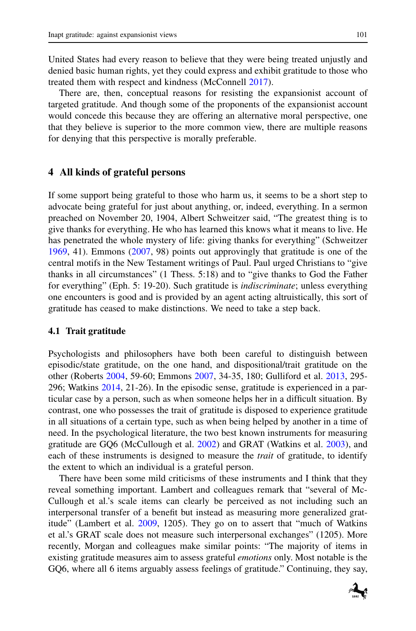United States had every reason to believe that they were being treated unjustly and denied basic human rights, yet they could express and exhibit gratitude to those who treated them with respect and kindness (McConnell [2017\)](#page-16-9).

There are, then, conceptual reasons for resisting the expansionist account of targeted gratitude. And though some of the proponents of the expansionist account would concede this because they are offering an alternative moral perspective, one that they believe is superior to the more common view, there are multiple reasons for denying that this perspective is morally preferable.

## **4 All kinds of grateful persons**

If some support being grateful to those who harm us, it seems to be a short step to advocate being grateful for just about anything, or, indeed, everything. In a sermon preached on November 20, 1904, Albert Schweitzer said, "The greatest thing is to give thanks for everything. He who has learned this knows what it means to live. He has penetrated the whole mystery of life: giving thanks for everything" (Schweitzer [1969,](#page-16-27) 41). Emmons [\(2007,](#page-16-10) 98) points out approvingly that gratitude is one of the central motifs in the New Testament writings of Paul. Paul urged Christians to "give thanks in all circumstances" (1 Thess. 5:18) and to "give thanks to God the Father for everything" (Eph. 5: 19-20). Such gratitude is *indiscriminate*; unless everything one encounters is good and is provided by an agent acting altruistically, this sort of gratitude has ceased to make distinctions. We need to take a step back.

### **4.1 Trait gratitude**

Psychologists and philosophers have both been careful to distinguish between episodic/state gratitude, on the one hand, and dispositional/trait gratitude on the other (Roberts [2004,](#page-16-14) 59-60; Emmons [2007,](#page-16-10) 34-35, 180; Gulliford et al. [2013,](#page-16-2) 295- 296; Watkins [2014,](#page-17-3) 21-26). In the episodic sense, gratitude is experienced in a particular case by a person, such as when someone helps her in a difficult situation. By contrast, one who possesses the trait of gratitude is disposed to experience gratitude in all situations of a certain type, such as when being helped by another in a time of need. In the psychological literature, the two best known instruments for measuring gratitude are GQ6 (McCullough et al. [2002\)](#page-16-28) and GRAT (Watkins et al. [2003\)](#page-17-7), and each of these instruments is designed to measure the *trait* of gratitude, to identify the extent to which an individual is a grateful person.

There have been some mild criticisms of these instruments and I think that they reveal something important. Lambert and colleagues remark that "several of Mc-Cullough et al.'s scale items can clearly be perceived as not including such an interpersonal transfer of a benefit but instead as measuring more generalized gratitude" (Lambert et al. [2009,](#page-16-0) 1205). They go on to assert that "much of Watkins et al.'s GRAT scale does not measure such interpersonal exchanges" (1205). More recently, Morgan and colleagues make similar points: "The majority of items in existing gratitude measures aim to assess grateful *emotions* only. Most notable is the GQ6, where all 6 items arguably assess feelings of gratitude." Continuing, they say,

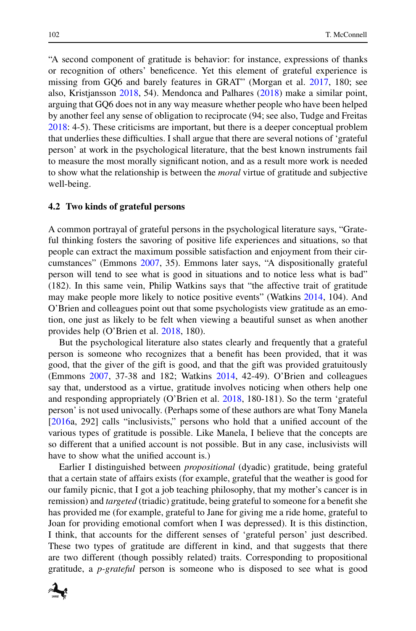"A second component of gratitude is behavior: for instance, expressions of thanks or recognition of others' beneficence. Yet this element of grateful experience is missing from GQ6 and barely features in GRAT" (Morgan et al. [2017,](#page-16-29) 180; see also, Kristjansson [2018,](#page-16-22) 54). Mendonca and Palhares [\(2018\)](#page-16-30) make a similar point, arguing that GQ6 does not in any way measure whether people who have been helped by another feel any sense of obligation to reciprocate (94; see also, Tudge and Freitas [2018:](#page-17-8) 4-5). These criticisms are important, but there is a deeper conceptual problem that underlies these difficulties. I shall argue that there are several notions of 'grateful person' at work in the psychological literature, that the best known instruments fail to measure the most morally significant notion, and as a result more work is needed to show what the relationship is between the *moral* virtue of gratitude and subjective well-being.

#### **4.2 Two kinds of grateful persons**

A common portrayal of grateful persons in the psychological literature says, "Grateful thinking fosters the savoring of positive life experiences and situations, so that people can extract the maximum possible satisfaction and enjoyment from their circumstances" (Emmons [2007,](#page-16-10) 35). Emmons later says, "A dispositionally grateful person will tend to see what is good in situations and to notice less what is bad" (182). In this same vein, Philip Watkins says that "the affective trait of gratitude may make people more likely to notice positive events" (Watkins [2014,](#page-17-3) 104). And O'Brien and colleagues point out that some psychologists view gratitude as an emotion, one just as likely to be felt when viewing a beautiful sunset as when another provides help (O'Brien et al. [2018,](#page-16-31) 180).

But the psychological literature also states clearly and frequently that a grateful person is someone who recognizes that a benefit has been provided, that it was good, that the giver of the gift is good, and that the gift was provided gratuitously (Emmons [2007,](#page-16-10) 37-38 and 182; Watkins [2014,](#page-17-3) 42-49). O'Brien and colleagues say that, understood as a virtue, gratitude involves noticing when others help one and responding appropriately (O'Brien et al. [2018,](#page-16-31) 180-181). So the term 'grateful person' is not used univocally. (Perhaps some of these authors are what Tony Manela [\[2016a](#page-16-3), 292] calls "inclusivists," persons who hold that a unified account of the various types of gratitude is possible. Like Manela, I believe that the concepts are so different that a unified account is not possible. But in any case, inclusivists will have to show what the unified account is.)

Earlier I distinguished between *propositional* (dyadic) gratitude, being grateful that a certain state of affairs exists (for example, grateful that the weather is good for our family picnic, that I got a job teaching philosophy, that my mother's cancer is in remission) and *targeted* (triadic) gratitude, being grateful to someone for a benefit she has provided me (for example, grateful to Jane for giving me a ride home, grateful to Joan for providing emotional comfort when I was depressed). It is this distinction, I think, that accounts for the different senses of 'grateful person' just described. These two types of gratitude are different in kind, and that suggests that there are two different (though possibly related) traits. Corresponding to propositional gratitude, a *p-grateful* person is someone who is disposed to see what is good

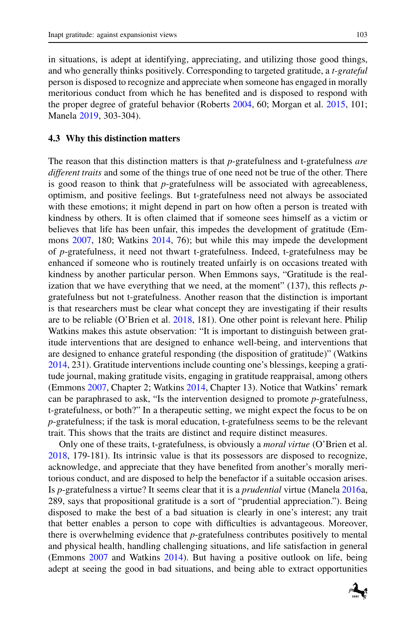in situations, is adept at identifying, appreciating, and utilizing those good things, and who generally thinks positively. Corresponding to targeted gratitude, a *t-grateful* person is disposed to recognize and appreciate when someone has engaged in morally meritorious conduct from which he has benefited and is disposed to respond with the proper degree of grateful behavior (Roberts [2004,](#page-16-14) 60; Morgan et al. [2015,](#page-16-7) 101; Manela [2019,](#page-16-15) 303-304).

#### **4.3 Why this distinction matters**

The reason that this distinction matters is that *p*-gratefulness and t-gratefulness *are different traits* and some of the things true of one need not be true of the other. There is good reason to think that *p*-gratefulness will be associated with agreeableness, optimism, and positive feelings. But t-gratefulness need not always be associated with these emotions; it might depend in part on how often a person is treated with kindness by others. It is often claimed that if someone sees himself as a victim or believes that life has been unfair, this impedes the development of gratitude (Emmons [2007,](#page-16-10) 180; Watkins [2014,](#page-17-3) 76); but while this may impede the development of *p*-gratefulness, it need not thwart t-gratefulness. Indeed, t-gratefulness may be enhanced if someone who is routinely treated unfairly is on occasions treated with kindness by another particular person. When Emmons says, "Gratitude is the realization that we have everything that we need, at the moment" (137), this reflects *p*gratefulness but not t-gratefulness. Another reason that the distinction is important is that researchers must be clear what concept they are investigating if their results are to be reliable (O'Brien et al. [2018,](#page-16-31) 181). One other point is relevant here. Philip Watkins makes this astute observation: "It is important to distinguish between gratitude interventions that are designed to enhance well-being, and interventions that are designed to enhance grateful responding (the disposition of gratitude)" (Watkins [2014,](#page-17-3) 231). Gratitude interventions include counting one's blessings, keeping a gratitude journal, making gratitude visits, engaging in gratitude reappraisal, among others (Emmons [2007,](#page-16-10) Chapter 2; Watkins [2014,](#page-17-3) Chapter 13). Notice that Watkins' remark can be paraphrased to ask, "Is the intervention designed to promote *p*-gratefulness, t-gratefulness, or both?" In a therapeutic setting, we might expect the focus to be on *p*-gratefulness; if the task is moral education, t-gratefulness seems to be the relevant trait. This shows that the traits are distinct and require distinct measures.

Only one of these traits, t-gratefulness, is obviously a *moral virtue* (O'Brien et al. [2018,](#page-16-31) 179-181). Its intrinsic value is that its possessors are disposed to recognize, acknowledge, and appreciate that they have benefited from another's morally meritorious conduct, and are disposed to help the benefactor if a suitable occasion arises. Is *p*-gratefulness a virtue? It seems clear that it is a *prudential* virtue (Manela [2016a](#page-16-3), 289, says that propositional gratitude is a sort of "prudential appreciation."). Being disposed to make the best of a bad situation is clearly in one's interest; any trait that better enables a person to cope with difficulties is advantageous. Moreover, there is overwhelming evidence that *p*-gratefulness contributes positively to mental and physical health, handling challenging situations, and life satisfaction in general (Emmons [2007](#page-16-10) and Watkins [2014\)](#page-17-3). But having a positive outlook on life, being adept at seeing the good in bad situations, and being able to extract opportunities

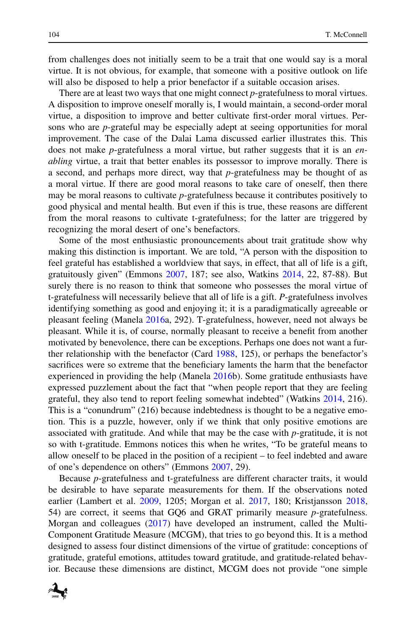from challenges does not initially seem to be a trait that one would say is a moral virtue. It is not obvious, for example, that someone with a positive outlook on life will also be disposed to help a prior benefactor if a suitable occasion arises.

There are at least two ways that one might connect *p*-gratefulness to moral virtues. A disposition to improve oneself morally is, I would maintain, a second-order moral virtue, a disposition to improve and better cultivate first-order moral virtues. Persons who are *p*-grateful may be especially adept at seeing opportunities for moral improvement. The case of the Dalai Lama discussed earlier illustrates this. This does not make *p*-gratefulness a moral virtue, but rather suggests that it is an *enabling* virtue, a trait that better enables its possessor to improve morally. There is a second, and perhaps more direct, way that *p*-gratefulness may be thought of as a moral virtue. If there are good moral reasons to take care of oneself, then there may be moral reasons to cultivate *p*-gratefulness because it contributes positively to good physical and mental health. But even if this is true, these reasons are different from the moral reasons to cultivate t-gratefulness; for the latter are triggered by recognizing the moral desert of one's benefactors.

Some of the most enthusiastic pronouncements about trait gratitude show why making this distinction is important. We are told, "A person with the disposition to feel grateful has established a worldview that says, in effect, that all of life is a gift, gratuitously given" (Emmons [2007,](#page-16-10) 187; see also, Watkins [2014,](#page-17-3) 22, 87-88). But surely there is no reason to think that someone who possesses the moral virtue of t-gratefulness will necessarily believe that all of life is a gift. *P*-gratefulness involves identifying something as good and enjoying it; it is a paradigmatically agreeable or pleasant feeling (Manela [2016a](#page-16-3), 292). T-gratefulness, however, need not always be pleasant. While it is, of course, normally pleasant to receive a benefit from another motivated by benevolence, there can be exceptions. Perhaps one does not want a further relationship with the benefactor (Card [1988,](#page-15-0) 125), or perhaps the benefactor's sacrifices were so extreme that the beneficiary laments the harm that the benefactor experienced in providing the help (Manela [2016b](#page-16-32)). Some gratitude enthusiasts have expressed puzzlement about the fact that "when people report that they are feeling grateful, they also tend to report feeling somewhat indebted" (Watkins [2014,](#page-17-3) 216). This is a "conundrum" (216) because indebtedness is thought to be a negative emotion. This is a puzzle, however, only if we think that only positive emotions are associated with gratitude. And while that may be the case with *p*-gratitude, it is not so with t-gratitude. Emmons notices this when he writes, "To be grateful means to allow oneself to be placed in the position of a recipient – to feel indebted and aware of one's dependence on others" (Emmons [2007,](#page-16-10) 29).

Because *p*-gratefulness and t-gratefulness are different character traits, it would be desirable to have separate measurements for them. If the observations noted earlier (Lambert et al. [2009,](#page-16-0) 1205; Morgan et al. [2017,](#page-16-29) 180; Kristjansson [2018,](#page-16-22) 54) are correct, it seems that GQ6 and GRAT primarily measure *p*-gratefulness. Morgan and colleagues [\(2017\)](#page-16-29) have developed an instrument, called the Multi-Component Gratitude Measure (MCGM), that tries to go beyond this. It is a method designed to assess four distinct dimensions of the virtue of gratitude: conceptions of gratitude, grateful emotions, attitudes toward gratitude, and gratitude-related behavior. Because these dimensions are distinct, MCGM does not provide "one simple

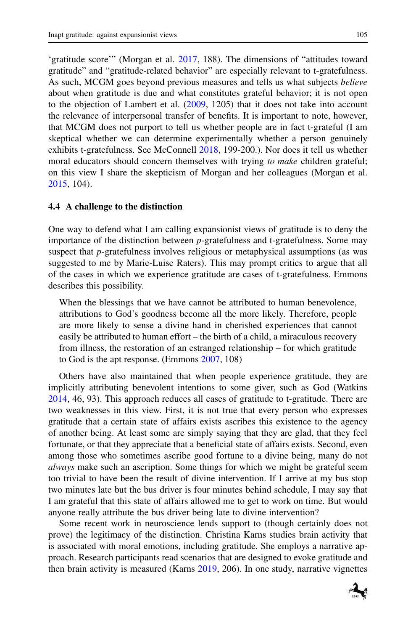'gratitude score'" (Morgan et al. [2017,](#page-16-29) 188). The dimensions of "attitudes toward gratitude" and "gratitude-related behavior" are especially relevant to t-gratefulness. As such, MCGM goes beyond previous measures and tells us what subjects *believe* about when gratitude is due and what constitutes grateful behavior; it is not open to the objection of Lambert et al. [\(2009,](#page-16-0) 1205) that it does not take into account the relevance of interpersonal transfer of benefits. It is important to note, however, that MCGM does not purport to tell us whether people are in fact t-grateful (I am skeptical whether we can determine experimentally whether a person genuinely exhibits t-gratefulness. See McConnell [2018,](#page-16-33) 199-200.). Nor does it tell us whether moral educators should concern themselves with trying *to make* children grateful; on this view I share the skepticism of Morgan and her colleagues (Morgan et al. [2015,](#page-16-7) 104).

### **4.4 A challenge to the distinction**

One way to defend what I am calling expansionist views of gratitude is to deny the importance of the distinction between *p*-gratefulness and t-gratefulness. Some may suspect that *p*-gratefulness involves religious or metaphysical assumptions (as was suggested to me by Marie-Luise Raters). This may prompt critics to argue that all of the cases in which we experience gratitude are cases of t-gratefulness. Emmons describes this possibility.

When the blessings that we have cannot be attributed to human benevolence, attributions to God's goodness become all the more likely. Therefore, people are more likely to sense a divine hand in cherished experiences that cannot easily be attributed to human effort – the birth of a child, a miraculous recovery from illness, the restoration of an estranged relationship – for which gratitude to God is the apt response. (Emmons [2007,](#page-16-10) 108)

Others have also maintained that when people experience gratitude, they are implicitly attributing benevolent intentions to some giver, such as God (Watkins [2014,](#page-17-3) 46, 93). This approach reduces all cases of gratitude to t-gratitude. There are two weaknesses in this view. First, it is not true that every person who expresses gratitude that a certain state of affairs exists ascribes this existence to the agency of another being. At least some are simply saying that they are glad, that they feel fortunate, or that they appreciate that a beneficial state of affairs exists. Second, even among those who sometimes ascribe good fortune to a divine being, many do not *always* make such an ascription. Some things for which we might be grateful seem too trivial to have been the result of divine intervention. If I arrive at my bus stop two minutes late but the bus driver is four minutes behind schedule, I may say that I am grateful that this state of affairs allowed me to get to work on time. But would anyone really attribute the bus driver being late to divine intervention?

Some recent work in neuroscience lends support to (though certainly does not prove) the legitimacy of the distinction. Christina Karns studies brain activity that is associated with moral emotions, including gratitude. She employs a narrative approach. Research participants read scenarios that are designed to evoke gratitude and then brain activity is measured (Karns [2019,](#page-16-34) 206). In one study, narrative vignettes

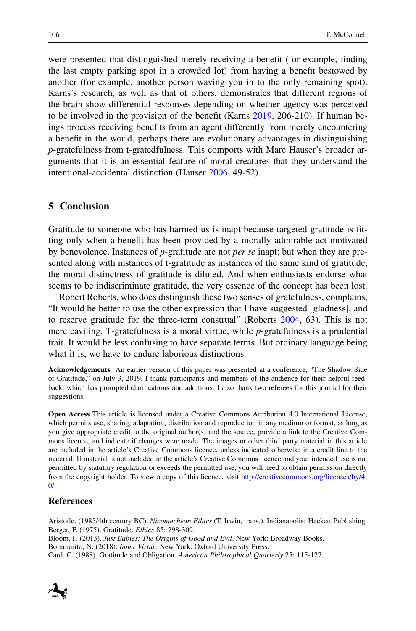were presented that distinguished merely receiving a benefit (for example, finding the last empty parking spot in a crowded lot) from having a benefit bestowed by another (for example, another person waving you in to the only remaining spot). Karns's research, as well as that of others, demonstrates that different regions of the brain show differential responses depending on whether agency was perceived to be involved in the provision of the benefit (Karns [2019,](#page-16-34) 206-210). If human beings process receiving benefits from an agent differently from merely encountering a benefit in the world, perhaps there are evolutionary advantages in distinguishing *p*-gratefulness from t-gratedfulness. This comports with Marc Hauser's broader arguments that it is an essential feature of moral creatures that they understand the intentional-accidental distinction (Hauser [2006,](#page-16-35) 49-52).

# **5 Conclusion**

Gratitude to someone who has harmed us is inapt because targeted gratitude is fitting only when a benefit has been provided by a morally admirable act motivated by benevolence. Instances of *p*-gratitude are not *per se* inapt; but when they are presented along with instances of t-gratitude as instances of the same kind of gratitude, the moral distinctness of gratitude is diluted. And when enthusiasts endorse what seems to be indiscriminate gratitude, the very essence of the concept has been lost.

Robert Roberts, who does distinguish these two senses of gratefulness, complains, "It would be better to use the other expression that I have suggested [gladness], and to reserve gratitude for the three-term construal" (Roberts [2004,](#page-16-14) 63). This is not mere caviling. T-gratefulness is a moral virtue, while *p*-gratefulness is a prudential trait. It would be less confusing to have separate terms. But ordinary language being what it is, we have to endure laborious distinctions.

**Acknowledgements** An earlier version of this paper was presented at a conference, "The Shadow Side of Gratitude," on July 3, 2019. I thank participants and members of the audience for their helpful feedback, which has prompted clarifications and additions. I also thank two referees for this journal for their suggestions.

**Open Access** This article is licensed under a Creative Commons Attribution 4.0 International License, which permits use, sharing, adaptation, distribution and reproduction in any medium or format, as long as you give appropriate credit to the original author(s) and the source, provide a link to the Creative Commons licence, and indicate if changes were made. The images or other third party material in this article are included in the article's Creative Commons licence, unless indicated otherwise in a credit line to the material. If material is not included in the article's Creative Commons licence and your intended use is not permitted by statutory regulation or exceeds the permitted use, you will need to obtain permission directly from the copyright holder. To view a copy of this licence, visit [http://creativecommons.org/licenses/by/4.](http://creativecommons.org/licenses/by/4.0/)  $0/$ .

#### **References**

<span id="page-15-4"></span><span id="page-15-3"></span><span id="page-15-2"></span><span id="page-15-1"></span><span id="page-15-0"></span>Aristotle. (1985/4th century BC). *Nicomachean Ethics* (T. Irwin, trans.). Indianapolis: Hackett Publishing. Berger, F. (1975). Gratitude. *Ethics* 85: 298-309. Bloom, P. (2013). *Just Babies: The Origins of Good and Evil*. New York: Broadway Books. Bommarito, N. (2018). *Inner Virtue*. New York: Oxford University Press. Card, C. (1988). Gratitude and Obligation. *American Philosophical Quarterly* 25: 115-127.

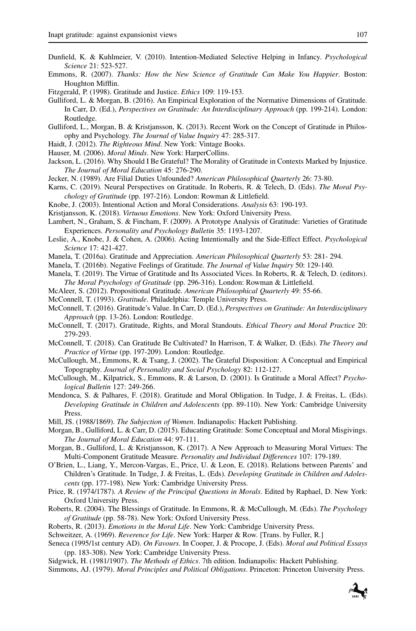- <span id="page-16-19"></span><span id="page-16-10"></span>Dunfield, K. & Kuhlmeier, V. (2010). Intention-Mediated Selective Helping in Infancy. *Psychological Science* 21: 523-527.
- Emmons, R. (2007). *Thanks: How the New Science of Gratitude Can Make You Happier*. Boston: Houghton Mifflin.
- <span id="page-16-21"></span><span id="page-16-12"></span>Fitzgerald, P. (1998). Gratitude and Justice. *Ethics* 109: 119-153.
- Gulliford, L. & Morgan, B. (2016). An Empirical Exploration of the Normative Dimensions of Gratitude. In Carr, D. (Ed.), *Perspectives on Gratitude: An Interdisciplinary Approach* (pp. 199-214). London: Routledge.
- <span id="page-16-20"></span><span id="page-16-2"></span>Gulliford, L., Morgan, B. & Kristjansson, K. (2013). Recent Work on the Concept of Gratitude in Philosophy and Psychology. *The Journal of Value Inquiry* 47: 285-317.
- <span id="page-16-35"></span>Haidt, J. (2012). *The Righteous Mind*. New York: Vintage Books.
- <span id="page-16-25"></span>Hauser, M. (2006). *Moral Minds*. New York: HarperCollins.
- <span id="page-16-6"></span>Jackson, L. (2016). Why Should I Be Grateful? The Morality of Gratitude in Contexts Marked by Injustice. *The Journal of Moral Education* 45: 276-290.
- <span id="page-16-34"></span>Jecker, N. (1989). Are Filial Duties Unfounded? *American Philosophical Quarterly* 26: 73-80.
- <span id="page-16-17"></span>Karns, C. (2019). Neural Perspectives on Gratitude. In Roberts, R. & Telech, D. (Eds). *The Moral Psychology of Gratitude* (pp. 197-216). London: Rowman & Littlefield.
- <span id="page-16-22"></span>Knobe, J. (2003). Intentional Action and Moral Considerations. *Analysis* 63: 190-193.
- <span id="page-16-0"></span>Kristjansson, K. (2018). *Virtuous Emotions*. New York: Oxford University Press.
- Lambert, N., Graham, S. & Fincham, F. (2009). A Prototype Analysis of Gratitude: Varieties of Gratitude Experiences. *Personality and Psychology Bulletin* 35: 1193-1207.
- <span id="page-16-18"></span>Leslie, A., Knobe, J. & Cohen, A. (2006). Acting Intentionally and the Side-Effect Effect. *Psychological Science* 17: 421-427.
- <span id="page-16-32"></span><span id="page-16-3"></span>Manela, T. (2016a). Gratitude and Appreciation. *American Philosophical Quarterly* 53: 281- 294.
- <span id="page-16-15"></span>Manela, T. (2016b). Negative Feelings of Gratitude. *The Journal of Value Inquiry* 50: 129-140.
- <span id="page-16-1"></span>Manela, T. (2019). The Virtue of Gratitude and Its Associated Vices. In Roberts, R. & Telech, D. (editors). *The Moral Psychology of Gratitude* (pp. 296-316). London: Rowman & Littlefield.
- <span id="page-16-5"></span>McAleer, S. (2012). Propositional Gratitude. *American Philosophical Quarterly* 49: 55-66.
- <span id="page-16-26"></span>McConnell, T. (1993). *Gratitude*. Philadelphia: Temple University Press.
- <span id="page-16-9"></span>McConnell, T. (2016). Gratitude's Value. In Carr, D. (Ed.), *Perspectives on Gratitude: An Interdisciplinary Approach* (pp. 13-26). London: Routledge.
- McConnell, T. (2017). Gratitude, Rights, and Moral Standouts. *Ethical Theory and Moral Practice* 20: 279-293.
- <span id="page-16-33"></span>McConnell, T. (2018). Can Gratitude Be Cultivated? In Harrison, T. & Walker, D. (Eds). *The Theory and Practice of Virtue* (pp. 197-209). London: Routledge.
- <span id="page-16-28"></span><span id="page-16-16"></span>McCullough, M., Emmons, R. & Tsang, J. (2002). The Grateful Disposition: A Conceptual and Empirical Topography. *Journal of Personality and Social Psychology* 82: 112-127.
- McCullough, M., Kilpatrick, S., Emmons, R. & Larson, D. (2001). Is Gratitude a Moral Affect? *Psychological Bulletin* 127: 249-266.
- <span id="page-16-30"></span>Mendonca, S. & Palhares, F. (2018). Gratitude and Moral Obligation. In Tudge, J. & Freitas, L. (Eds). *Developing Gratitude in Children and Adolescents* (pp. 89-110). New York: Cambridge University Press.
- <span id="page-16-8"></span><span id="page-16-7"></span>Mill, JS. (1988/1869). *The Subjection of Women*. Indianapolis: Hackett Publishing.
- <span id="page-16-29"></span>Morgan, B., Gulliford, L. & Carr, D. (2015). Educating Gratitude: Some Conceptual and Moral Misgivings. *The Journal of Moral Education* 44: 97-111.
- Morgan, B., Gulliford, L. & Kristjansson, K. (2017). A New Approach to Measuring Moral Virtues: The Multi-Component Gratitude Measure. *Personality and Individual Differences* 107: 179-189.
- <span id="page-16-31"></span>O'Brien, L., Liang, Y., Mercon-Vargas, E., Price, U. & Leon, E. (2018). Relations between Parents' and Children's Gratitude. In Tudge, J. & Freitas, L. (Eds). *Developing Gratitude in Children and Adolescents* (pp. 177-198). New York: Cambridge University Press.
- <span id="page-16-24"></span>Price, R. (1974/1787). *A Review of the Principal Questions in Morals*. Edited by Raphael, D. New York: Oxford University Press.
- <span id="page-16-14"></span>Roberts, R. (2004). The Blessings of Gratitude. In Emmons, R. & McCullough, M. (Eds). *The Psychology of Gratitude* (pp. 58-78). New York: Oxford University Press.
- <span id="page-16-27"></span><span id="page-16-11"></span>Roberts, R. (2013). *Emotions in the Moral Life*. New York: Cambridge University Press.
- <span id="page-16-13"></span>Schweitzer, A. (1969). *Reverence for Life*. New York: Harper & Row. [Trans. by Fuller, R.]
- Seneca (1995/1st century AD). *On Favours.* In Cooper, J. & Procope, J. (Eds). *Moral and Political Essays* (pp. 183-308). New York: Cambridge University Press.
- <span id="page-16-23"></span><span id="page-16-4"></span>Sidgwick, H. (1981/1907). *The Methods of Ethics*. 7th edition. Indianapolis: Hackett Publishing.
- Simmons, AJ. (1979). *Moral Principles and Political Obligations*. Princeton: Princeton University Press.